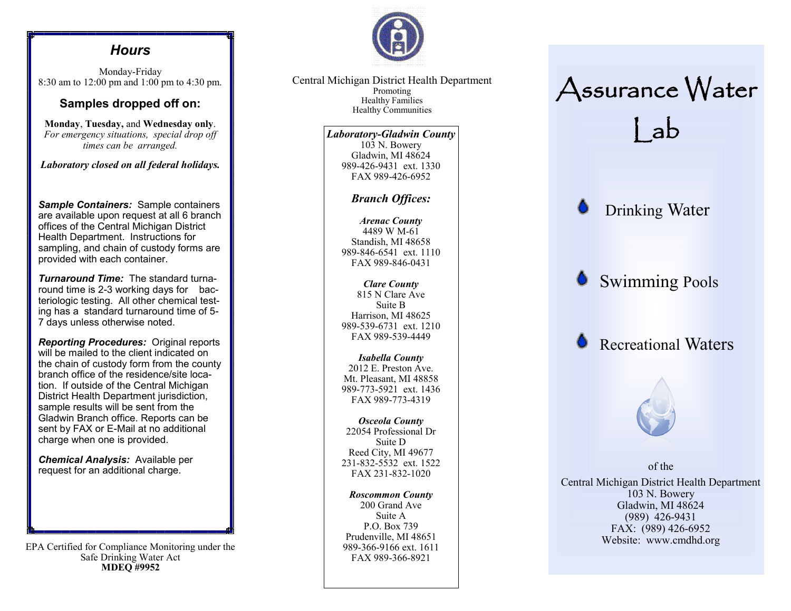### *Hours*

Monday-Friday 8:30 am to 12:00 pm and 1:00 pm to 4:30 pm.

#### **Samples dropped off on:**

**Monday**, **Tuesday,** and **Wednesday only**. *For emergency situations, special drop off times can be arranged.* 

*Laboratory closed on all federal holidays.* 

*Sample Containers:* Sample containers are available upon request at all 6 branch offices of the Central Michigan District Health Department. Instructions for sampling, and chain of custody forms are provided with each container.

*Turnaround Time:* The standard turnaround time is 2-3 working days for bacteriologic testing. All other chemical testing has a standard turnaround time of 5- 7 days unless otherwise noted.

*Reporting Procedures:* Original reports will be mailed to the client indicated on the chain of custody form from the county branch office of the residence/site location. If outside of the Central Michigan District Health Department jurisdiction, sample results will be sent from the Gladwin Branch office. Reports can be sent by FAX or E-Mail at no additional charge when one is provided.

*Chemical Analysis:* Available per request for an additional charge.

EPA Certified for Compliance Monitoring under the Safe Drinking Water Act **MDEQ #9952**



Central Michigan District Health Department Promoting Healthy Families Healthy Communities

> *Laboratory-Gladwin County* 103 N. Bowery Gladwin, MI 48624 989-426-9431 ext. 1330 FAX 989-426-6952

#### *Branch Offices:*

*Arenac County* 4489 W M-61 Standish, MI 48658 989-846-6541 ext. 1110 FAX 989-846-0431

*Clare County* 815 N Clare Ave Suite B Harrison, MI 48625 989-539-6731 ext. 1210 FAX 989-539-4449

*Isabella County* 2012 E. Preston Ave. Mt. Pleasant, MI 48858 989-773-5921 ext. 1436 FAX 989-773-4319

*Osceola County* 22054 Professional Dr Suite D Reed City, MI 49677 231-832-5532 ext. 1522 FAX 231-832-1020

*Roscommon County* 200 Grand Ave Suite A P.O. Box 739 Prudenville, MI 48651 989-366-9166 ext. 1611 FAX 989-366-8921

# Assurance Water Lab

Drinking Water

Swimming Pools

Recreational Waters



of the Central Michigan District Health Department 103 N. Bowery Gladwin, MI 48624 (989) 426-9431 FAX: (989) 426-6952 Website: www.cmdhd.org